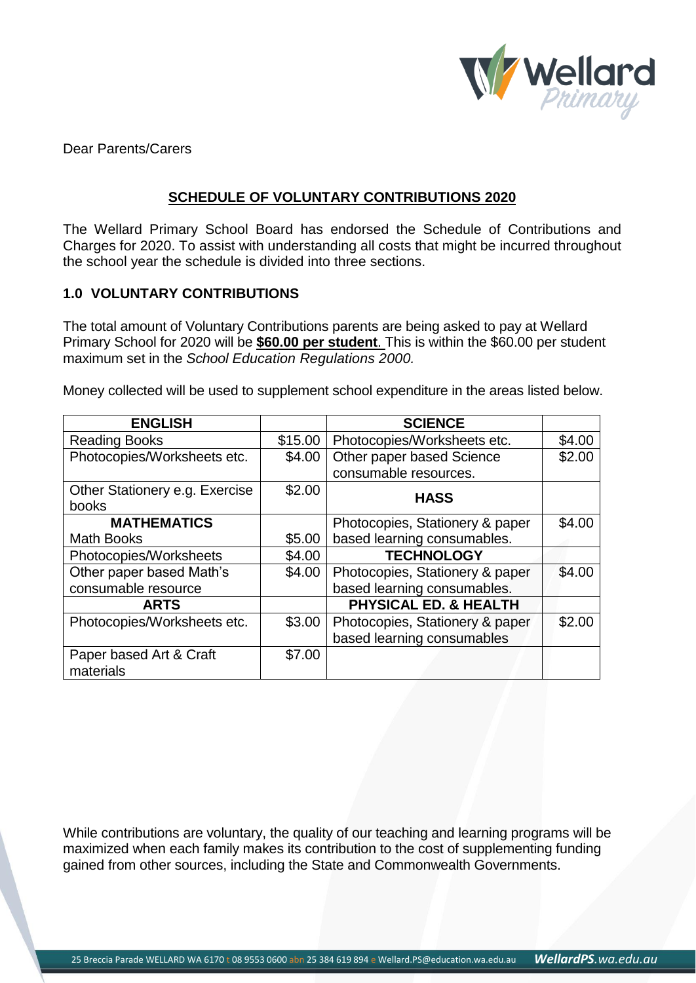

Dear Parents/Carers

## **SCHEDULE OF VOLUNTARY CONTRIBUTIONS 2020**

The Wellard Primary School Board has endorsed the Schedule of Contributions and Charges for 2020. To assist with understanding all costs that might be incurred throughout the school year the schedule is divided into three sections.

#### **1.0 VOLUNTARY CONTRIBUTIONS**

The total amount of Voluntary Contributions parents are being asked to pay at Wellard Primary School for 2020 will be **\$60.00 per student**. This is within the \$60.00 per student maximum set in the *School Education Regulations 2000.*

Money collected will be used to supplement school expenditure in the areas listed below.

| <b>ENGLISH</b>                 |         | <b>SCIENCE</b>                   |        |
|--------------------------------|---------|----------------------------------|--------|
| <b>Reading Books</b>           | \$15.00 | Photocopies/Worksheets etc.      | \$4.00 |
| Photocopies/Worksheets etc.    | \$4.00  | Other paper based Science        | \$2.00 |
|                                |         | consumable resources.            |        |
| Other Stationery e.g. Exercise | \$2.00  | <b>HASS</b>                      |        |
| books                          |         |                                  |        |
| <b>MATHEMATICS</b>             |         | Photocopies, Stationery & paper  | \$4.00 |
| <b>Math Books</b>              | \$5.00  | based learning consumables.      |        |
| Photocopies/Worksheets         | \$4.00  | <b>TECHNOLOGY</b>                |        |
| Other paper based Math's       | \$4.00  | Photocopies, Stationery & paper  | \$4.00 |
| consumable resource            |         | based learning consumables.      |        |
| <b>ARTS</b>                    |         | <b>PHYSICAL ED. &amp; HEALTH</b> |        |
| Photocopies/Worksheets etc.    | \$3.00  | Photocopies, Stationery & paper  | \$2.00 |
|                                |         | based learning consumables       |        |
| Paper based Art & Craft        | \$7.00  |                                  |        |
| materials                      |         |                                  |        |

While contributions are voluntary, the quality of our teaching and learning programs will be maximized when each family makes its contribution to the cost of supplementing funding gained from other sources, including the State and Commonwealth Governments.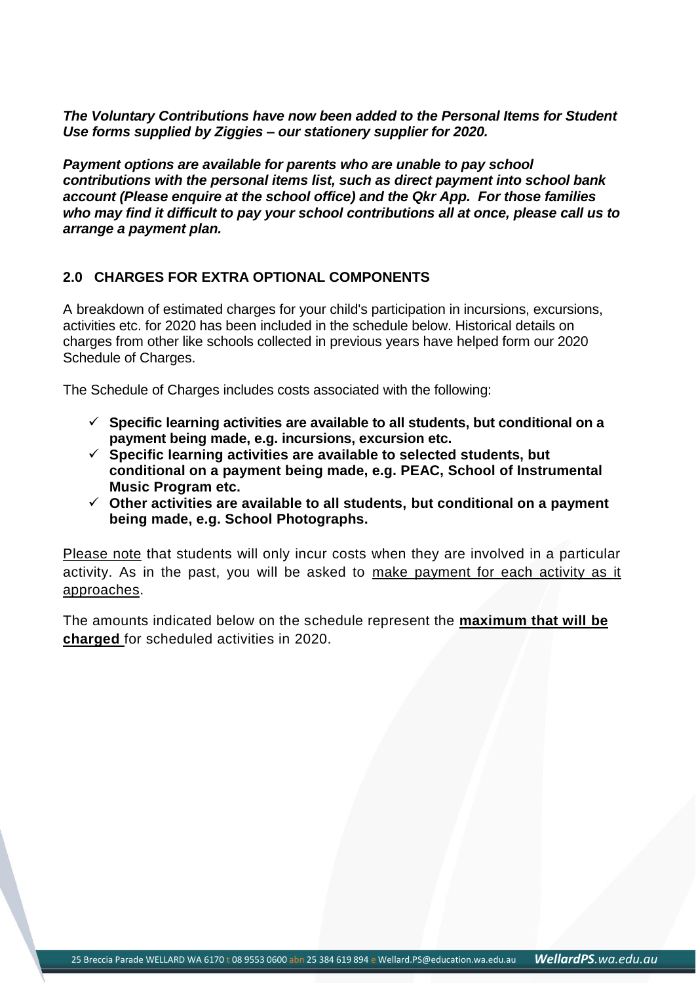*The Voluntary Contributions have now been added to the Personal Items for Student Use forms supplied by Ziggies – our stationery supplier for 2020.*

*Payment options are available for parents who are unable to pay school contributions with the personal items list, such as direct payment into school bank account (Please enquire at the school office) and the Qkr App. For those families who may find it difficult to pay your school contributions all at once, please call us to arrange a payment plan.*

# **2.0 CHARGES FOR EXTRA OPTIONAL COMPONENTS**

A breakdown of estimated charges for your child's participation in incursions, excursions, activities etc. for 2020 has been included in the schedule below. Historical details on charges from other like schools collected in previous years have helped form our 2020 Schedule of Charges.

The Schedule of Charges includes costs associated with the following:

- **Specific learning activities are available to all students, but conditional on a payment being made, e.g. incursions, excursion etc.**
- **Specific learning activities are available to selected students, but conditional on a payment being made, e.g. PEAC, School of Instrumental Music Program etc.**
- **Other activities are available to all students, but conditional on a payment being made, e.g. School Photographs.**

Please note that students will only incur costs when they are involved in a particular activity. As in the past, you will be asked to make payment for each activity as it approaches.

The amounts indicated below on the schedule represent the **maximum that will be charged** for scheduled activities in 2020.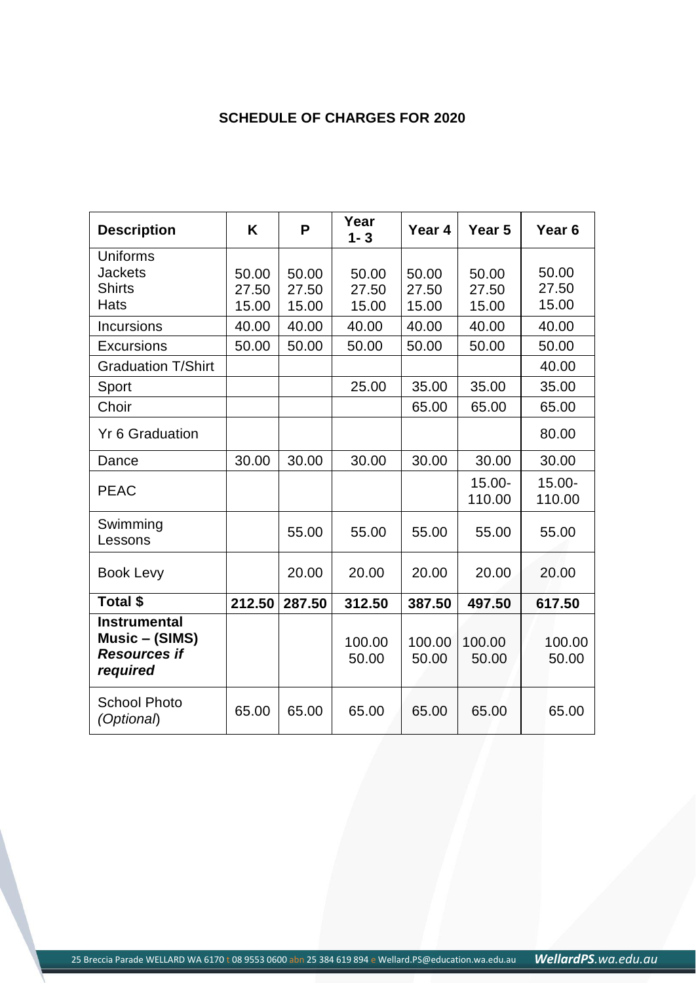# **SCHEDULE OF CHARGES FOR 2020**

| <b>Description</b>                                                       | K      | P      | Year<br>$1 - 3$ | Year 4          | Year 5              | Year <sub>6</sub>   |
|--------------------------------------------------------------------------|--------|--------|-----------------|-----------------|---------------------|---------------------|
| <b>Uniforms</b>                                                          |        |        |                 |                 |                     |                     |
| <b>Jackets</b>                                                           | 50.00  | 50.00  | 50.00           | 50.00           | 50.00               | 50.00               |
| <b>Shirts</b>                                                            | 27.50  | 27.50  | 27.50           | 27.50           | 27.50               | 27.50               |
| <b>Hats</b>                                                              | 15.00  | 15.00  | 15.00           | 15.00           | 15.00               | 15.00               |
| <b>Incursions</b>                                                        | 40.00  | 40.00  | 40.00           | 40.00           | 40.00               | 40.00               |
| <b>Excursions</b>                                                        | 50.00  | 50.00  | 50.00           | 50.00           | 50.00               | 50.00               |
| <b>Graduation T/Shirt</b>                                                |        |        |                 |                 |                     | 40.00               |
| Sport                                                                    |        |        | 25.00           | 35.00           | 35.00               | 35.00               |
| Choir                                                                    |        |        |                 | 65.00           | 65.00               | 65.00               |
| <b>Yr 6 Graduation</b>                                                   |        |        |                 |                 |                     | 80.00               |
| Dance                                                                    | 30.00  | 30.00  | 30.00           | 30.00           | 30.00               | 30.00               |
| <b>PEAC</b>                                                              |        |        |                 |                 | $15.00 -$<br>110.00 | $15.00 -$<br>110.00 |
| Swimming<br>Lessons                                                      |        | 55.00  | 55.00           | 55.00           | 55.00               | 55.00               |
| <b>Book Levy</b>                                                         |        | 20.00  | 20.00           | 20.00           | 20.00               | 20.00               |
| Total \$                                                                 | 212.50 | 287.50 | 312.50          | 387.50          | 497.50              | 617.50              |
| <b>Instrumental</b><br>Music – (SIMS)<br><b>Resources if</b><br>required |        |        | 100.00<br>50.00 | 100.00<br>50.00 | 100.00<br>50.00     | 100.00<br>50.00     |
| <b>School Photo</b><br>(Optional)                                        | 65.00  | 65.00  | 65.00           | 65.00           | 65.00               | 65.00               |